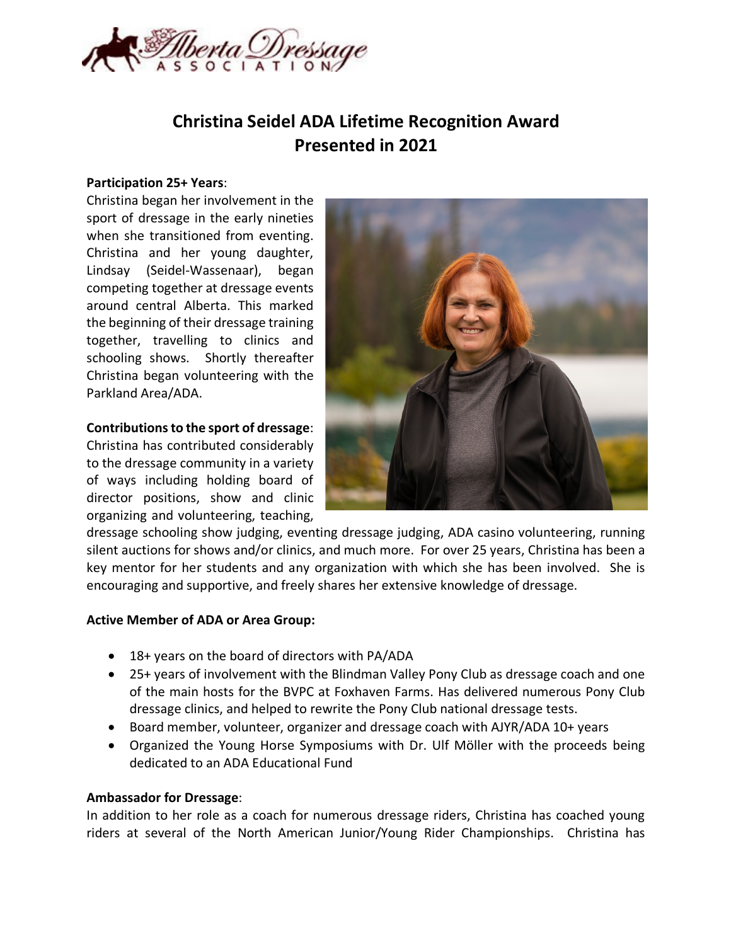

# **Christina Seidel ADA Lifetime Recognition Award Presented in 2021**

#### **Participation 25+ Years**:

Christina began her involvement in the sport of dressage in the early nineties when she transitioned from eventing. Christina and her young daughter, Lindsay (Seidel-Wassenaar), began competing together at dressage events around central Alberta. This marked the beginning of their dressage training together, travelling to clinics and schooling shows. Shortly thereafter Christina began volunteering with the Parkland Area/ADA.

## **Contributions to the sport of dressage**:

Christina has contributed considerably to the dressage community in a variety of ways including holding board of director positions, show and clinic organizing and volunteering, teaching,



dressage schooling show judging, eventing dressage judging, ADA casino volunteering, running silent auctions for shows and/or clinics, and much more. For over 25 years, Christina has been a key mentor for her students and any organization with which she has been involved. She is encouraging and supportive, and freely shares her extensive knowledge of dressage.

## **Active Member of ADA or Area Group:**

- 18+ years on the board of directors with PA/ADA
- 25+ years of involvement with the Blindman Valley Pony Club as dressage coach and one of the main hosts for the BVPC at Foxhaven Farms. Has delivered numerous Pony Club dressage clinics, and helped to rewrite the Pony Club national dressage tests.
- Board member, volunteer, organizer and dressage coach with AJYR/ADA 10+ years
- Organized the Young Horse Symposiums with Dr. Ulf Möller with the proceeds being dedicated to an ADA Educational Fund

#### **Ambassador for Dressage**:

In addition to her role as a coach for numerous dressage riders, Christina has coached young riders at several of the North American Junior/Young Rider Championships. Christina has